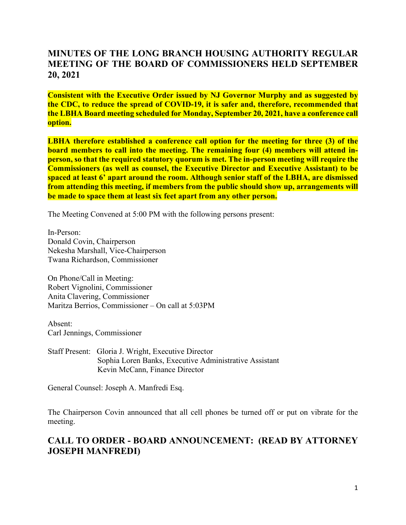## **MINUTES OF THE LONG BRANCH HOUSING AUTHORITY REGULAR MEETING OF THE BOARD OF COMMISSIONERS HELD SEPTEMBER 20, 2021**

**Consistent with the Executive Order issued by NJ Governor Murphy and as suggested by the CDC, to reduce the spread of COVID-19, it is safer and, therefore, recommended that the LBHA Board meeting scheduled for Monday, September 20, 2021, have a conference call option.**

**LBHA therefore established a conference call option for the meeting for three (3) of the board members to call into the meeting. The remaining four (4) members will attend inperson, so that the required statutory quorum is met. The in-person meeting will require the Commissioners (as well as counsel, the Executive Director and Executive Assistant) to be spaced at least 6' apart around the room. Although senior staff of the LBHA, are dismissed from attending this meeting, if members from the public should show up, arrangements will be made to space them at least six feet apart from any other person.**

The Meeting Convened at 5:00 PM with the following persons present:

In-Person: Donald Covin, Chairperson Nekesha Marshall, Vice-Chairperson Twana Richardson, Commissioner

On Phone/Call in Meeting: Robert Vignolini, Commissioner Anita Clavering, Commissioner Maritza Berrios, Commissioner – On call at 5:03PM

Absent: Carl Jennings, Commissioner

Staff Present: Gloria J. Wright, Executive Director Sophia Loren Banks, Executive Administrative Assistant Kevin McCann, Finance Director

General Counsel: Joseph A. Manfredi Esq.

The Chairperson Covin announced that all cell phones be turned off or put on vibrate for the meeting.

# **CALL TO ORDER - BOARD ANNOUNCEMENT: (READ BY ATTORNEY JOSEPH MANFREDI)**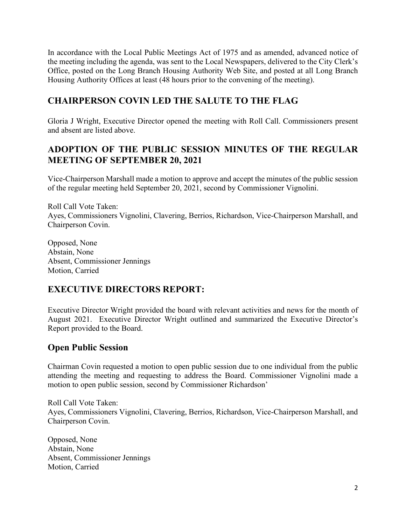In accordance with the Local Public Meetings Act of 1975 and as amended, advanced notice of the meeting including the agenda, was sent to the Local Newspapers, delivered to the City Clerk's Office, posted on the Long Branch Housing Authority Web Site, and posted at all Long Branch Housing Authority Offices at least (48 hours prior to the convening of the meeting).

## **CHAIRPERSON COVIN LED THE SALUTE TO THE FLAG**

Gloria J Wright, Executive Director opened the meeting with Roll Call. Commissioners present and absent are listed above.

## **ADOPTION OF THE PUBLIC SESSION MINUTES OF THE REGULAR MEETING OF SEPTEMBER 20, 2021**

Vice-Chairperson Marshall made a motion to approve and accept the minutes of the public session of the regular meeting held September 20, 2021, second by Commissioner Vignolini.

Roll Call Vote Taken: Ayes, Commissioners Vignolini, Clavering, Berrios, Richardson, Vice-Chairperson Marshall, and Chairperson Covin.

Opposed, None Abstain, None Absent, Commissioner Jennings Motion, Carried

# **EXECUTIVE DIRECTORS REPORT:**

Executive Director Wright provided the board with relevant activities and news for the month of August 2021. Executive Director Wright outlined and summarized the Executive Director's Report provided to the Board.

# **Open Public Session**

Chairman Covin requested a motion to open public session due to one individual from the public attending the meeting and requesting to address the Board. Commissioner Vignolini made a motion to open public session, second by Commissioner Richardson'

Roll Call Vote Taken: Ayes, Commissioners Vignolini, Clavering, Berrios, Richardson, Vice-Chairperson Marshall, and Chairperson Covin.

Opposed, None Abstain, None Absent, Commissioner Jennings Motion, Carried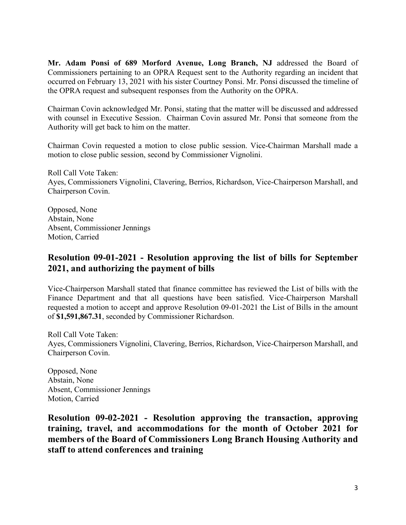**Mr. Adam Ponsi of 689 Morford Avenue, Long Branch, NJ** addressed the Board of Commissioners pertaining to an OPRA Request sent to the Authority regarding an incident that occurred on February 13, 2021 with his sister Courtney Ponsi. Mr. Ponsi discussed the timeline of the OPRA request and subsequent responses from the Authority on the OPRA.

Chairman Covin acknowledged Mr. Ponsi, stating that the matter will be discussed and addressed with counsel in Executive Session. Chairman Covin assured Mr. Ponsi that someone from the Authority will get back to him on the matter.

Chairman Covin requested a motion to close public session. Vice-Chairman Marshall made a motion to close public session, second by Commissioner Vignolini.

Roll Call Vote Taken: Ayes, Commissioners Vignolini, Clavering, Berrios, Richardson, Vice-Chairperson Marshall, and Chairperson Covin.

Opposed, None Abstain, None Absent, Commissioner Jennings Motion, Carried

#### **Resolution 09-01-2021 - Resolution approving the list of bills for September 2021, and authorizing the payment of bills**

Vice-Chairperson Marshall stated that finance committee has reviewed the List of bills with the Finance Department and that all questions have been satisfied. Vice-Chairperson Marshall requested a motion to accept and approve Resolution 09-01-2021 the List of Bills in the amount of **\$1,591,867.31**, seconded by Commissioner Richardson.

Roll Call Vote Taken: Ayes, Commissioners Vignolini, Clavering, Berrios, Richardson, Vice-Chairperson Marshall, and Chairperson Covin.

Opposed, None Abstain, None Absent, Commissioner Jennings Motion, Carried

**Resolution 09-02-2021 - Resolution approving the transaction, approving training, travel, and accommodations for the month of October 2021 for members of the Board of Commissioners Long Branch Housing Authority and staff to attend conferences and training**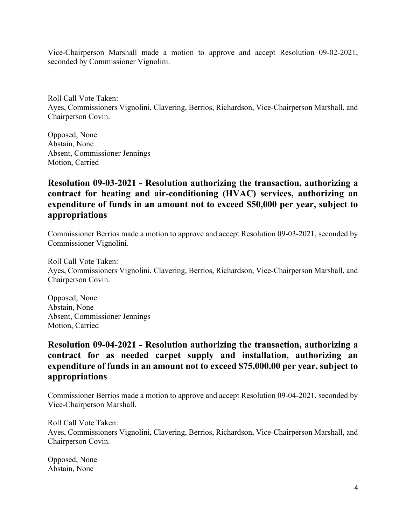Vice-Chairperson Marshall made a motion to approve and accept Resolution 09-02-2021, seconded by Commissioner Vignolini.

Roll Call Vote Taken: Ayes, Commissioners Vignolini, Clavering, Berrios, Richardson, Vice-Chairperson Marshall, and Chairperson Covin.

Opposed, None Abstain, None Absent, Commissioner Jennings Motion, Carried

# **Resolution 09-03-2021 - Resolution authorizing the transaction, authorizing a contract for heating and air-conditioning (HVAC) services, authorizing an expenditure of funds in an amount not to exceed \$50,000 per year, subject to appropriations**

Commissioner Berrios made a motion to approve and accept Resolution 09-03-2021, seconded by Commissioner Vignolini.

Roll Call Vote Taken: Ayes, Commissioners Vignolini, Clavering, Berrios, Richardson, Vice-Chairperson Marshall, and Chairperson Covin.

Opposed, None Abstain, None Absent, Commissioner Jennings Motion, Carried

## **Resolution 09-04-2021 - Resolution authorizing the transaction, authorizing a contract for as needed carpet supply and installation, authorizing an expenditure of funds in an amount not to exceed \$75,000.00 per year, subject to appropriations**

Commissioner Berrios made a motion to approve and accept Resolution 09-04-2021, seconded by Vice-Chairperson Marshall.

Roll Call Vote Taken: Ayes, Commissioners Vignolini, Clavering, Berrios, Richardson, Vice-Chairperson Marshall, and Chairperson Covin.

Opposed, None Abstain, None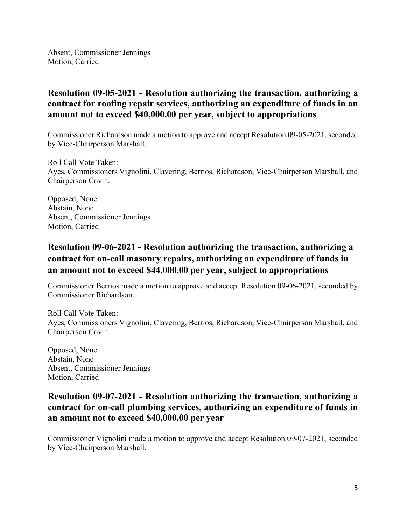Absent, Commissioner Jennings Motion, Carried

## **Resolution 09-05-2021 - Resolution authorizing the transaction, authorizing a contract for roofing repair services, authorizing an expenditure of funds in an amount not to exceed \$40,000.00 per year, subject to appropriations**

Commissioner Richardson made a motion to approve and accept Resolution 09-05-2021, seconded by Vice-Chairperson Marshall.

Roll Call Vote Taken: Ayes, Commissioners Vignolini, Clavering, Berrios, Richardson, Vice-Chairperson Marshall, and Chairperson Covin.

Opposed, None Abstain, None Absent, Commissioner Jennings Motion, Carried

# **Resolution 09-06-2021 - Resolution authorizing the transaction, authorizing a contract for on-call masonry repairs, authorizing an expenditure of funds in an amount not to exceed \$44,000.00 per year, subject to appropriations**

Commissioner Berrios made a motion to approve and accept Resolution 09-06-2021, seconded by Commissioner Richardson.

Roll Call Vote Taken: Ayes, Commissioners Vignolini, Clavering, Berrios, Richardson, Vice-Chairperson Marshall, and Chairperson Covin.

Opposed, None Abstain, None Absent, Commissioner Jennings Motion, Carried

#### **Resolution 09-07-2021 - Resolution authorizing the transaction, authorizing a contract for on-call plumbing services, authorizing an expenditure of funds in an amount not to exceed \$40,000.00 per year**

Commissioner Vignolini made a motion to approve and accept Resolution 09-07-2021, seconded by Vice-Chairperson Marshall.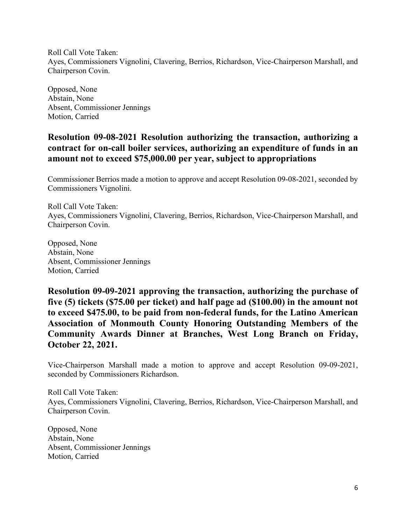Roll Call Vote Taken: Ayes, Commissioners Vignolini, Clavering, Berrios, Richardson, Vice-Chairperson Marshall, and Chairperson Covin.

Opposed, None Abstain, None Absent, Commissioner Jennings Motion, Carried

### **Resolution 09-08-2021 Resolution authorizing the transaction, authorizing a contract for on-call boiler services, authorizing an expenditure of funds in an amount not to exceed \$75,000.00 per year, subject to appropriations**

Commissioner Berrios made a motion to approve and accept Resolution 09-08-2021, seconded by Commissioners Vignolini.

Roll Call Vote Taken: Ayes, Commissioners Vignolini, Clavering, Berrios, Richardson, Vice-Chairperson Marshall, and Chairperson Covin.

Opposed, None Abstain, None Absent, Commissioner Jennings Motion, Carried

**Resolution 09-09-2021 approving the transaction, authorizing the purchase of five (5) tickets (\$75.00 per ticket) and half page ad (\$100.00) in the amount not to exceed \$475.00, to be paid from non-federal funds, for the Latino American Association of Monmouth County Honoring Outstanding Members of the Community Awards Dinner at Branches, West Long Branch on Friday, October 22, 2021.**

Vice-Chairperson Marshall made a motion to approve and accept Resolution 09-09-2021, seconded by Commissioners Richardson.

Roll Call Vote Taken: Ayes, Commissioners Vignolini, Clavering, Berrios, Richardson, Vice-Chairperson Marshall, and Chairperson Covin.

Opposed, None Abstain, None Absent, Commissioner Jennings Motion, Carried